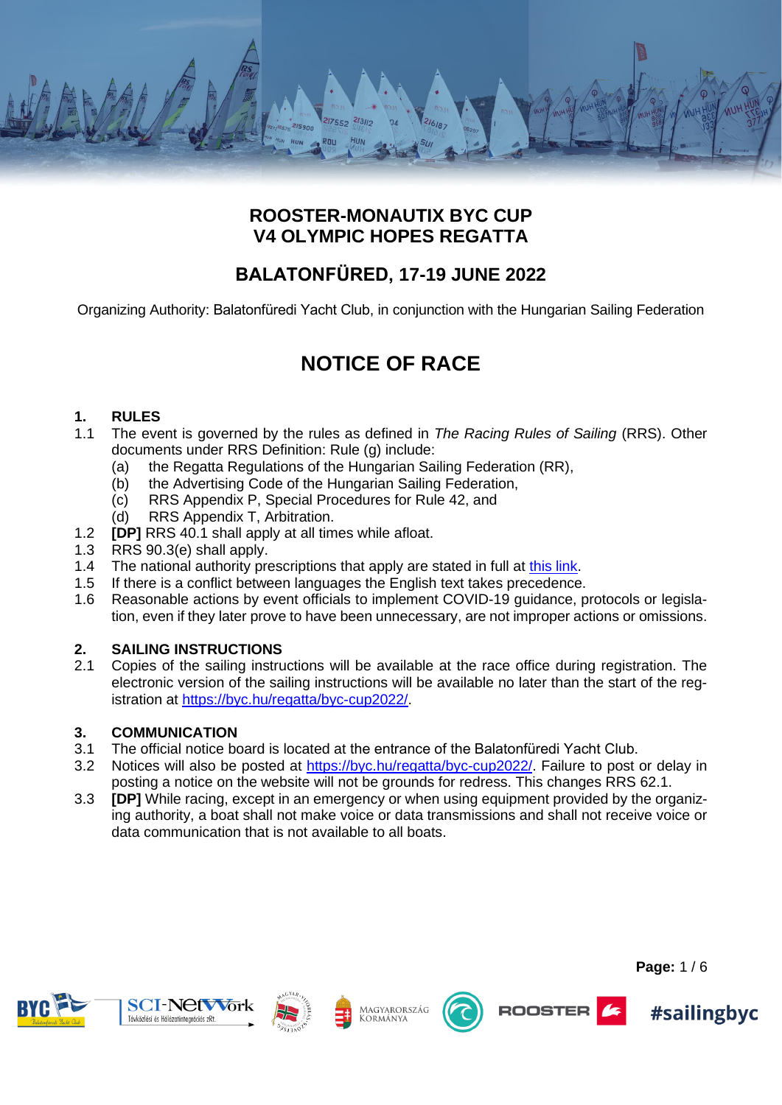

# **ROOSTER-MONAUTIX BYC CUP V4 OLYMPIC HOPES REGATTA**

# **BALATONFÜRED, 17-19 JUNE 2022**

Organizing Authority: Balatonfüredi Yacht Club, in conjunction with the Hungarian Sailing Federation

# **NOTICE OF RACE**

# **1. RULES**

- 1.1 The event is governed by the rules as defined in *The Racing Rules of Sailing* (RRS). Other documents under RRS Definition: Rule (g) include:
	- (a) the Regatta Regulations of the Hungarian Sailing Federation (RR),
	- (b) the Advertising Code of the Hungarian Sailing Federation,
	- (c) RRS Appendix P, Special Procedures for Rule 42, and
	- (d) RRS Appendix T, Arbitration.
- 1.2 **[DP]** RRS 40.1 shall apply at all times while afloat.
- 1.3 RRS 90.3(e) shall apply.
- 1.4 The national authority prescriptions that apply are stated in full at [this link.](https://www.sailing.org/tools/documents/HSFnationalprescriptions20212024eng-%5b26981%5d.pdf)
- 1.5 If there is a conflict between languages the English text takes precedence.
- 1.6 Reasonable actions by event officials to implement COVID-19 guidance, protocols or legislation, even if they later prove to have been unnecessary, are not improper actions or omissions.

# **2. SAILING INSTRUCTIONS**

2.1 Copies of the sailing instructions will be available at the race office during registration. The electronic version of the sailing instructions will be available no later than the start of the registration at [https://byc.hu/regatta/byc-cup2022/.](https://byc.hu/regatta/byc-cup2022/)

# **3. COMMUNICATION**

- 3.1 The official notice board is located at the entrance of the Balatonfüredi Yacht Club.
- 3.2 Notices will also be posted at [https://byc.hu/regatta/byc-cup2022/.](https://byc.hu/regatta/byc-cup2022/) Failure to post or delay in posting a notice on the website will not be grounds for redress. This changes RRS 62.1.
- 3.3 **[DP]** While racing, except in an emergency or when using equipment provided by the organizing authority, a boat shall not make voice or data transmissions and shall not receive voice or data communication that is not available to all boats.







Magyarország Kormánya





**Page:** 1 / 6

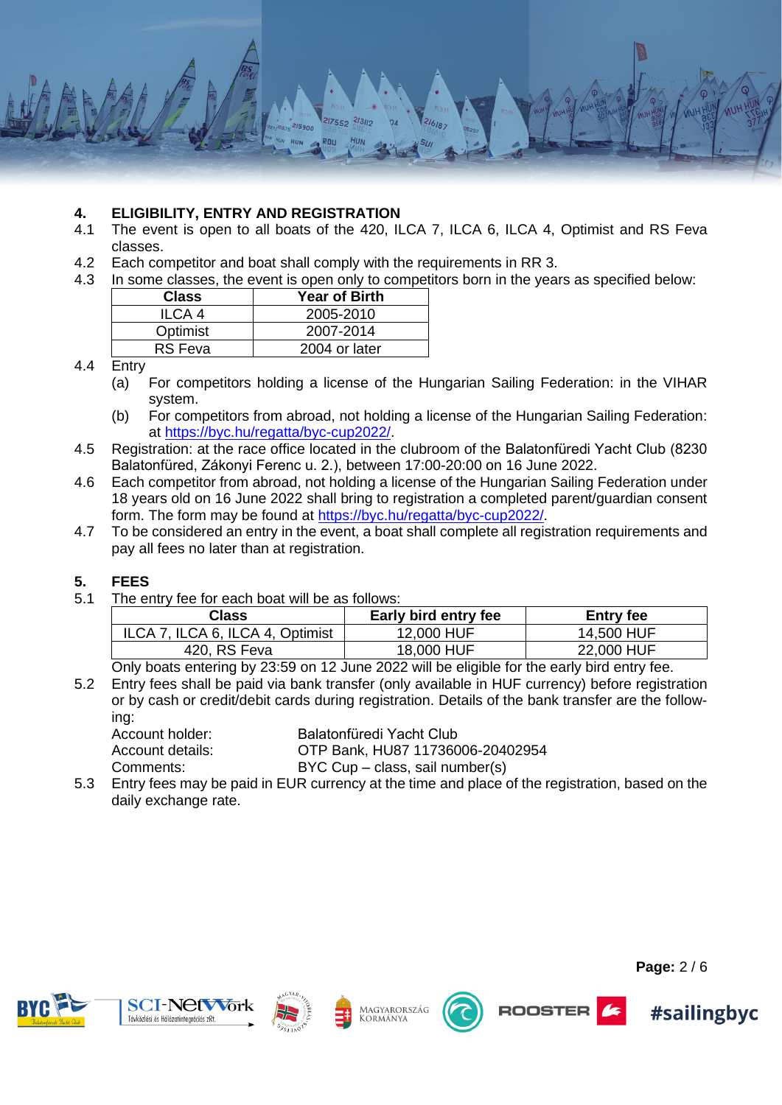

#### **4. ELIGIBILITY, ENTRY AND REGISTRATION**

- 4.1 The event is open to all boats of the 420, ILCA 7, ILCA 6, ILCA 4, Optimist and RS Feva classes.
- 4.2 Each competitor and boat shall comply with the requirements in RR 3.
- 4.3 In some classes, the event is open only to competitors born in the years as specified below:

| <b>Class</b>   | <b>Year of Birth</b> |
|----------------|----------------------|
| ILCA 4         | 2005-2010            |
| Optimist       | 2007-2014            |
| <b>RS</b> Feva | 2004 or later        |

#### 4.4 Entry

- (a) For competitors holding a license of the Hungarian Sailing Federation: in the VIHAR system.
- (b) For competitors from abroad, not holding a license of the Hungarian Sailing Federation: at [https://byc.hu/regatta/byc-cup2022/.](https://byc.hu/regatta/byc-cup2022/)
- 4.5 Registration: at the race office located in the clubroom of the Balatonfüredi Yacht Club (8230 Balatonfüred, Zákonyi Ferenc u. 2.), between 17:00-20:00 on 16 June 2022.
- 4.6 Each competitor from abroad, not holding a license of the Hungarian Sailing Federation under 18 years old on 16 June 2022 shall bring to registration a completed parent/guardian consent form. The form may be found at [https://byc.hu/regatta/byc-cup2022/.](https://byc.hu/regatta/byc-cup2022/)
- 4.7 To be considered an entry in the event, a boat shall complete all registration requirements and pay all fees no later than at registration.

#### **5. FEES**

5.1 The entry fee for each boat will be as follows:

| Class                            | Early bird entry fee | <b>Entry fee</b> |
|----------------------------------|----------------------|------------------|
| ILCA 7, ILCA 6, ILCA 4, Optimist | 12,000 HUF           | 14,500 HUF       |
| 420, RS Feva                     | 18,000 HUF           | 22,000 HUF       |

Only boats entering by 23:59 on 12 June 2022 will be eligible for the early bird entry fee.

5.2 Entry fees shall be paid via bank transfer (only available in HUF currency) before registration or by cash or credit/debit cards during registration. Details of the bank transfer are the following:

| Account holder:  | Balatonfüredi Yacht Club         |
|------------------|----------------------------------|
| Account details: | OTP Bank, HU87 11736006-20402954 |
| Comments:        | BYC Cup – class, sail number(s)  |

5.3 Entry fees may be paid in EUR currency at the time and place of the registration, based on the daily exchange rate.







Magyarország Kormánya



ROOSTER



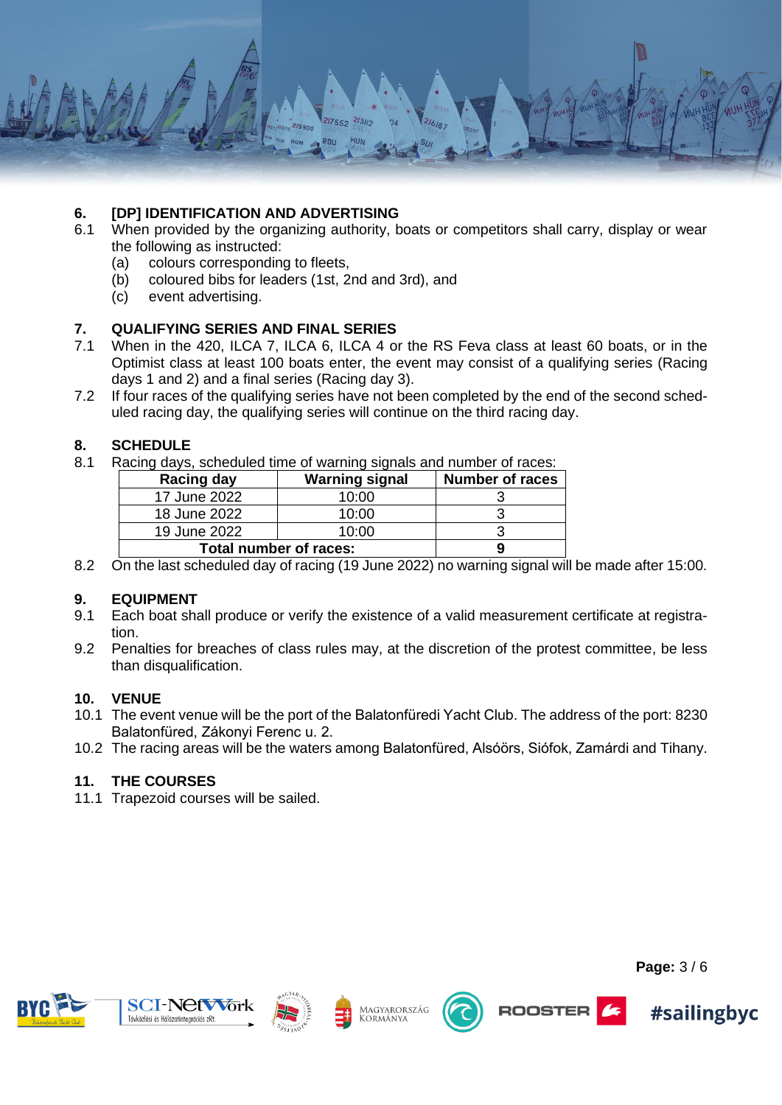

# **6. [DP] IDENTIFICATION AND ADVERTISING**

- 6.1 When provided by the organizing authority, boats or competitors shall carry, display or wear the following as instructed:
	- (a) colours corresponding to fleets,
	- (b) coloured bibs for leaders (1st, 2nd and 3rd), and
	- (c) event advertising.

# **7. QUALIFYING SERIES AND FINAL SERIES**

- 7.1 When in the 420, ILCA 7, ILCA 6, ILCA 4 or the RS Feva class at least 60 boats, or in the Optimist class at least 100 boats enter, the event may consist of a qualifying series (Racing days 1 and 2) and a final series (Racing day 3).
- 7.2 If four races of the qualifying series have not been completed by the end of the second scheduled racing day, the qualifying series will continue on the third racing day.

# **8. SCHEDULE**

8.1 Racing days, scheduled time of warning signals and number of races:

| Racing day             | <b>Warning signal</b> | <b>Number of races</b> |
|------------------------|-----------------------|------------------------|
| 17 June 2022           | 10:00                 |                        |
| 18 June 2022           | 10:00                 |                        |
| 19 June 2022           | 10:00                 |                        |
| Total number of races: |                       |                        |

8.2 On the last scheduled day of racing (19 June 2022) no warning signal will be made after 15:00.

#### **9. EQUIPMENT**

- 9.1 Each boat shall produce or verify the existence of a valid measurement certificate at registration.
- 9.2 Penalties for breaches of class rules may, at the discretion of the protest committee, be less than disqualification.

#### **10. VENUE**

- 10.1 The event venue will be the port of the Balatonfüredi Yacht Club. The address of the port: 8230 Balatonfüred, Zákonyi Ferenc u. 2.
- 10.2 The racing areas will be the waters among Balatonfüred, Alsóörs, Siófok, Zamárdi and Tihany.

#### **11. THE COURSES**

11.1 Trapezoid courses will be sailed.







Magyarország Kormániva





**Page:** 3 / 6

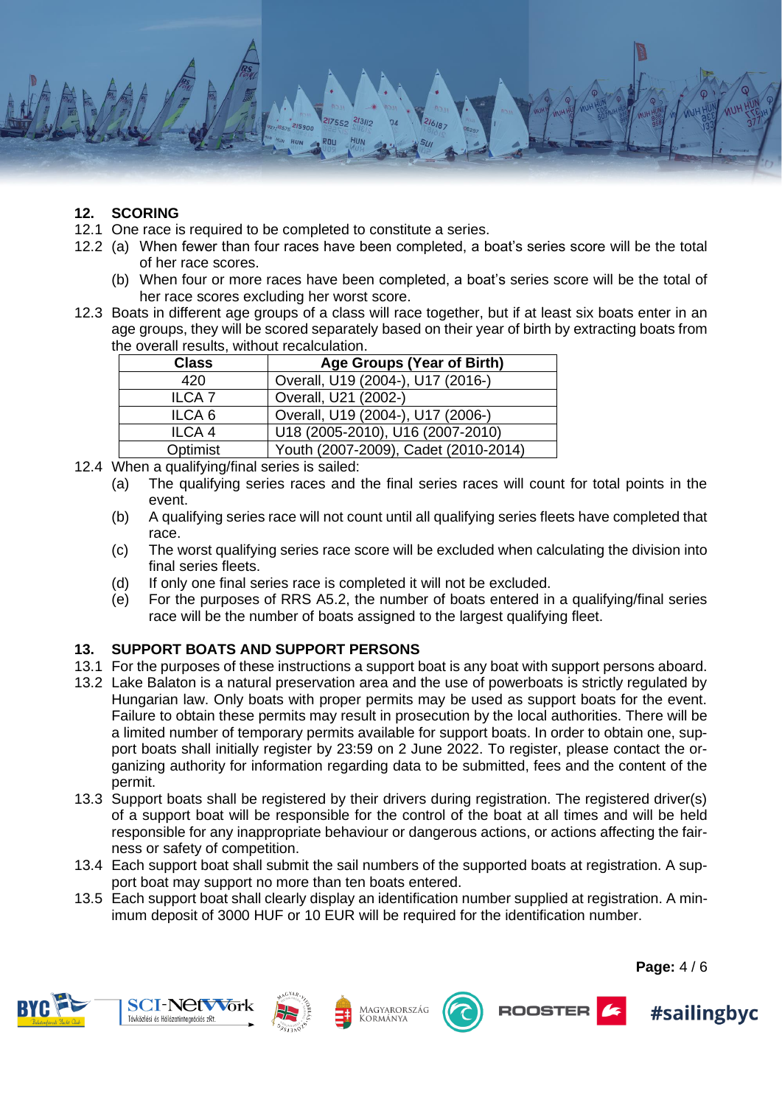

# **12. SCORING**

- 12.1 One race is required to be completed to constitute a series.
- 12.2 (a) When fewer than four races have been completed, a boat's series score will be the total of her race scores.
	- (b) When four or more races have been completed, a boat's series score will be the total of her race scores excluding her worst score.
- 12.3 Boats in different age groups of a class will race together, but if at least six boats enter in an age groups, they will be scored separately based on their year of birth by extracting boats from the overall results, without recalculation.

| <b>Class</b>      | Age Groups (Year of Birth)           |
|-------------------|--------------------------------------|
| 420               | Overall, U19 (2004-), U17 (2016-)    |
| <b>ILCA7</b>      | Overall, U21 (2002-)                 |
| ILCA <sub>6</sub> | Overall, U19 (2004-), U17 (2006-)    |
| ILCA <sub>4</sub> | U18 (2005-2010), U16 (2007-2010)     |
| Optimist          | Youth (2007-2009), Cadet (2010-2014) |

12.4 When a qualifying/final series is sailed:

- (a) The qualifying series races and the final series races will count for total points in the event.
- (b) A qualifying series race will not count until all qualifying series fleets have completed that race.
- (c) The worst qualifying series race score will be excluded when calculating the division into final series fleets.
- (d) If only one final series race is completed it will not be excluded.
- (e) For the purposes of RRS A5.2, the number of boats entered in a qualifying/final series race will be the number of boats assigned to the largest qualifying fleet.

# **13. SUPPORT BOATS AND SUPPORT PERSONS**

- 13.1 For the purposes of these instructions a support boat is any boat with support persons aboard.
- 13.2 Lake Balaton is a natural preservation area and the use of powerboats is strictly regulated by Hungarian law. Only boats with proper permits may be used as support boats for the event. Failure to obtain these permits may result in prosecution by the local authorities. There will be a limited number of temporary permits available for support boats. In order to obtain one, support boats shall initially register by 23:59 on 2 June 2022. To register, please contact the organizing authority for information regarding data to be submitted, fees and the content of the permit.
- 13.3 Support boats shall be registered by their drivers during registration. The registered driver(s) of a support boat will be responsible for the control of the boat at all times and will be held responsible for any inappropriate behaviour or dangerous actions, or actions affecting the fairness or safety of competition.
- 13.4 Each support boat shall submit the sail numbers of the supported boats at registration. A support boat may support no more than ten boats entered.
- 13.5 Each support boat shall clearly display an identification number supplied at registration. A minimum deposit of 3000 HUF or 10 EUR will be required for the identification number.









ROOSTER



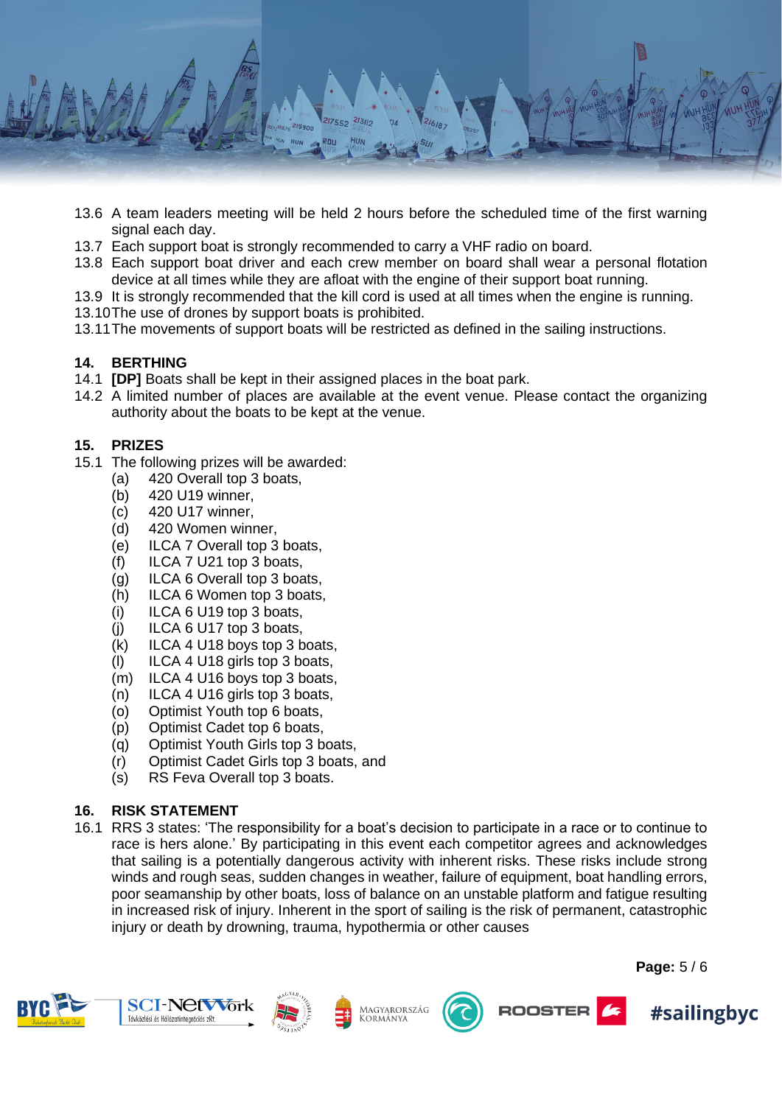

- 13.6 A team leaders meeting will be held 2 hours before the scheduled time of the first warning signal each day.
- 13.7 Each support boat is strongly recommended to carry a VHF radio on board.
- 13.8 Each support boat driver and each crew member on board shall wear a personal flotation device at all times while they are afloat with the engine of their support boat running.
- 13.9 It is strongly recommended that the kill cord is used at all times when the engine is running.
- 13.10The use of drones by support boats is prohibited.
- 13.11The movements of support boats will be restricted as defined in the sailing instructions.

#### **14. BERTHING**

- 14.1 **[DP]** Boats shall be kept in their assigned places in the boat park.
- 14.2 A limited number of places are available at the event venue. Please contact the organizing authority about the boats to be kept at the venue.

#### **15. PRIZES**

- 15.1 The following prizes will be awarded:
	- (a) 420 Overall top 3 boats,
	- (b) 420 U19 winner,
	- (c) 420 U17 winner,
	- (d) 420 Women winner,
	- (e) ILCA 7 Overall top 3 boats,
	- (f) ILCA 7 U21 top 3 boats,
	- (g) ILCA 6 Overall top 3 boats,
	- (h) ILCA 6 Women top 3 boats,
	- (i) ILCA 6 U19 top 3 boats,
	- (j) ILCA 6 U17 top 3 boats,
	- (k) ILCA 4 U18 boys top 3 boats,
	- (l) ILCA 4 U18 girls top 3 boats,
	- (m) ILCA 4 U16 boys top 3 boats,
	- (n) ILCA 4 U16 girls top 3 boats,
	- (o) Optimist Youth top 6 boats,
	- (p) Optimist Cadet top 6 boats,
	- (q) Optimist Youth Girls top 3 boats,
	- (r) Optimist Cadet Girls top 3 boats, and
	- (s) RS Feva Overall top 3 boats.

#### **16. RISK STATEMENT**

16.1 RRS 3 states: 'The responsibility for a boat's decision to participate in a race or to continue to race is hers alone.' By participating in this event each competitor agrees and acknowledges that sailing is a potentially dangerous activity with inherent risks. These risks include strong winds and rough seas, sudden changes in weather, failure of equipment, boat handling errors, poor seamanship by other boats, loss of balance on an unstable platform and fatigue resulting in increased risk of injury. Inherent in the sport of sailing is the risk of permanent, catastrophic injury or death by drowning, trauma, hypothermia or other causes







Magyarország Kormánya





**Page:** 5 / 6